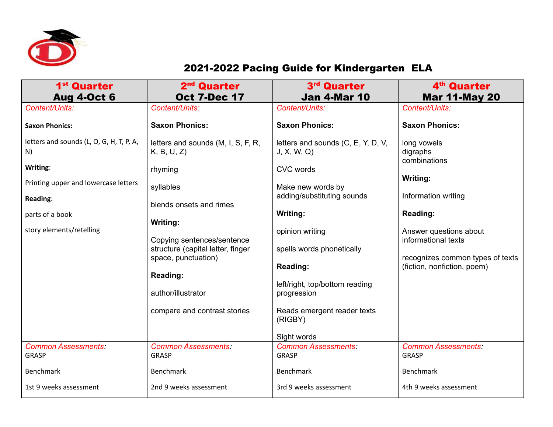

## 2021-2022 Pacing Guide for Kindergarten ELA

| 1 <sup>st</sup> Quarter                  | 2 <sup>nd</sup> Quarter                                         | 3 <sup>rd</sup> Quarter                       | 4 <sup>th</sup> Quarter          |
|------------------------------------------|-----------------------------------------------------------------|-----------------------------------------------|----------------------------------|
| <b>Aug 4-Oct 6</b>                       | <b>Oct 7-Dec 17</b>                                             | <b>Jan 4-Mar 10</b>                           | <b>Mar 11-May 20</b>             |
| Content/Units:                           | Content/Units:                                                  | Content/Units:                                | Content/Units:                   |
| <b>Saxon Phonics:</b>                    | <b>Saxon Phonics:</b>                                           | <b>Saxon Phonics:</b>                         | <b>Saxon Phonics:</b>            |
| letters and sounds (L, O, G, H, T, P, A, | letters and sounds (M, I, S, F, R,                              | letters and sounds (C, E, Y, D, V,            | long vowels                      |
| N)                                       | K, B, U, Z                                                      | J, X, W, Q                                    | digraphs<br>combinations         |
| Writing:                                 | rhyming                                                         | <b>CVC</b> words                              |                                  |
| Printing upper and lowercase letters     | syllables                                                       | Make new words by                             | Writing:                         |
| Reading:                                 | blends onsets and rimes                                         | adding/substituting sounds                    | Information writing              |
| parts of a book                          |                                                                 | Writing:                                      | Reading:                         |
|                                          | Writing:                                                        |                                               |                                  |
| story elements/retelling                 |                                                                 | opinion writing                               | Answer questions about           |
|                                          | Copying sentences/sentence<br>structure (capital letter, finger | spells words phonetically                     | informational texts              |
|                                          | space, punctuation)                                             |                                               | recognizes common types of texts |
|                                          |                                                                 | Reading:                                      | (fiction, nonfiction, poem)      |
|                                          | Reading:                                                        |                                               |                                  |
|                                          | author/illustrator                                              | left/right, top/bottom reading<br>progression |                                  |
|                                          |                                                                 |                                               |                                  |
|                                          | compare and contrast stories                                    | Reads emergent reader texts                   |                                  |
|                                          |                                                                 | (RIGBY)                                       |                                  |
|                                          |                                                                 | Sight words                                   |                                  |
| <b>Common Assessments:</b>               | <b>Common Assessments:</b>                                      | <b>Common Assessments:</b>                    | <b>Common Assessments:</b>       |
| <b>GRASP</b>                             | <b>GRASP</b>                                                    | <b>GRASP</b>                                  | <b>GRASP</b>                     |
| <b>Benchmark</b>                         | <b>Benchmark</b>                                                | <b>Benchmark</b>                              | <b>Benchmark</b>                 |
| 1st 9 weeks assessment                   | 2nd 9 weeks assessment                                          | 3rd 9 weeks assessment                        | 4th 9 weeks assessment           |